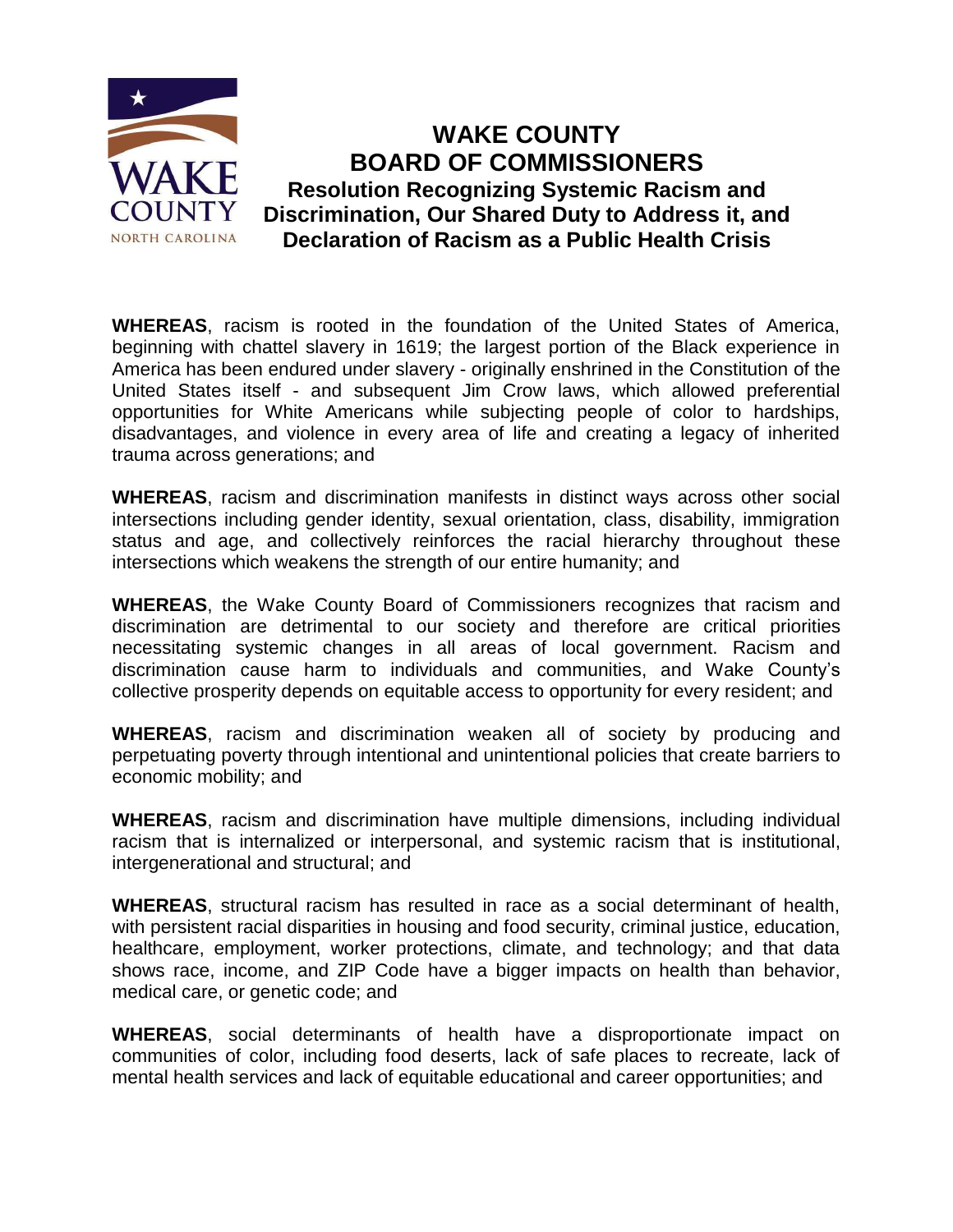

## **WAKE COUNTY BOARD OF COMMISSIONERS Resolution Recognizing Systemic Racism and Discrimination, Our Shared Duty to Address it, and Declaration of Racism as a Public Health Crisis**

**WHEREAS**, racism is rooted in the foundation of the United States of America, beginning with chattel slavery in 1619; the largest portion of the Black experience in America has been endured under slavery - originally enshrined in the Constitution of the United States itself - and subsequent Jim Crow laws, which allowed preferential opportunities for White Americans while subjecting people of color to hardships, disadvantages, and violence in every area of life and creating a legacy of inherited trauma across generations; and

**WHEREAS**, racism and discrimination manifests in distinct ways across other social intersections including gender identity, sexual orientation, class, disability, immigration status and age, and collectively reinforces the racial hierarchy throughout these intersections which weakens the strength of our entire humanity; and

**WHEREAS**, the Wake County Board of Commissioners recognizes that racism and discrimination are detrimental to our society and therefore are critical priorities necessitating systemic changes in all areas of local government. Racism and discrimination cause harm to individuals and communities, and Wake County's collective prosperity depends on equitable access to opportunity for every resident; and

**WHEREAS**, racism and discrimination weaken all of society by producing and perpetuating poverty through intentional and unintentional policies that create barriers to economic mobility; and

**WHEREAS**, racism and discrimination have multiple dimensions, including individual racism that is internalized or interpersonal, and systemic racism that is institutional, intergenerational and structural; and

**WHEREAS**, structural racism has resulted in race as a social determinant of health, with persistent racial disparities in housing and food security, criminal justice, education, healthcare, employment, worker protections, climate, and technology; and that data shows race, income, and ZIP Code have a bigger impacts on health than behavior, medical care, or genetic code; and

**WHEREAS**, social determinants of health have a disproportionate impact on communities of color, including food deserts, lack of safe places to recreate, lack of mental health services and lack of equitable educational and career opportunities; and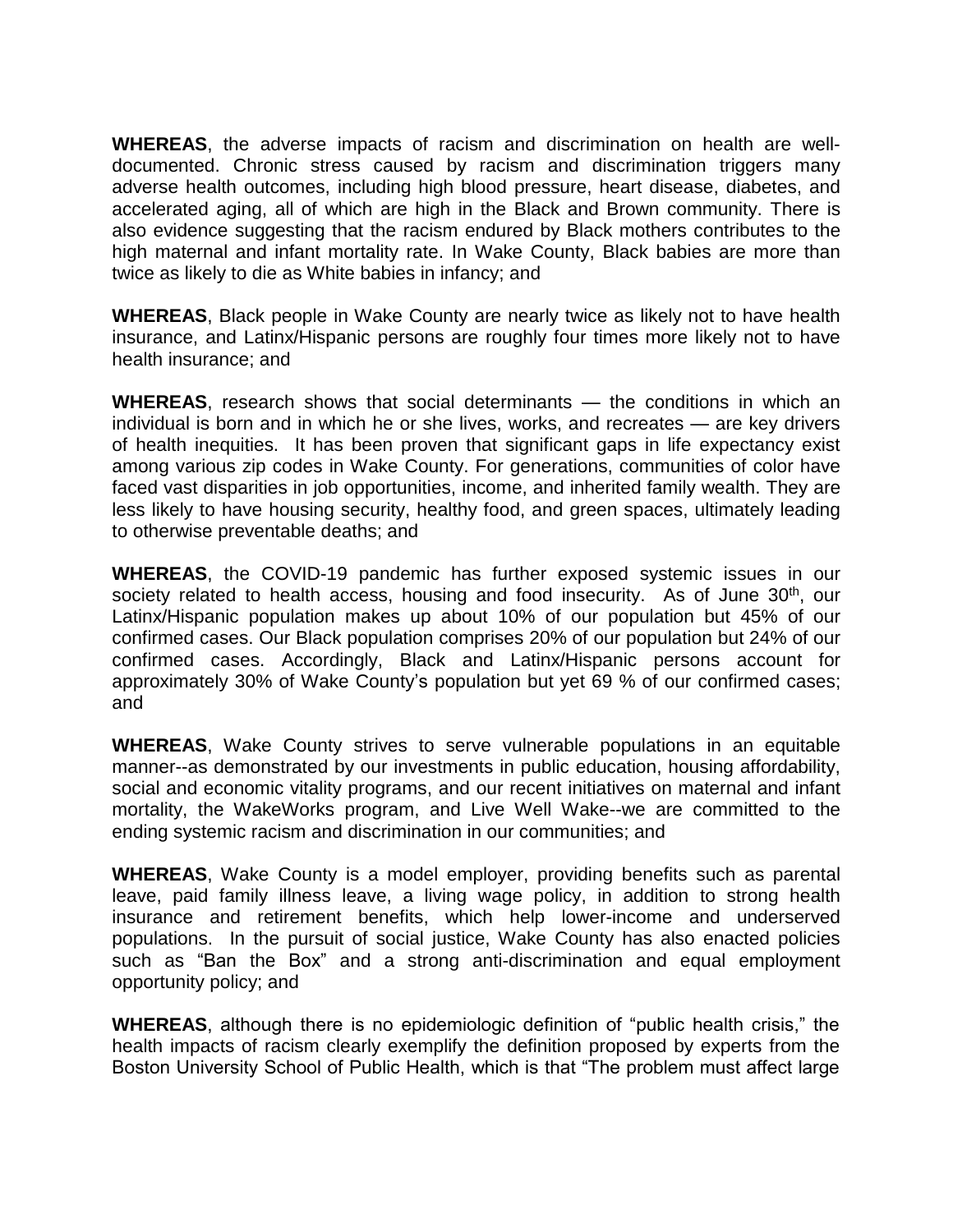**WHEREAS**, the adverse impacts of racism and discrimination on health are welldocumented. Chronic stress caused by racism and discrimination triggers many adverse health outcomes, including high blood pressure, heart disease, diabetes, and accelerated aging, all of which are high in the Black and Brown community. There is also evidence suggesting that the racism endured by Black mothers contributes to the high maternal and infant mortality rate. In Wake County, Black babies are more than twice as likely to die as White babies in infancy; and

**WHEREAS**, Black people in Wake County are nearly twice as likely not to have health insurance, and Latinx/Hispanic persons are roughly four times more likely not to have health insurance; and

**WHEREAS**, research shows that social determinants — the conditions in which an individual is born and in which he or she lives, works, and recreates — are key drivers of health inequities. It has been proven that significant gaps in life expectancy exist among various zip codes in Wake County. For generations, communities of color have faced vast disparities in job opportunities, income, and inherited family wealth. They are less likely to have housing security, healthy food, and green spaces, ultimately leading to otherwise preventable deaths; and

**WHEREAS**, the COVID-19 pandemic has further exposed systemic issues in our society related to health access, housing and food insecurity. As of June 30<sup>th</sup>, our Latinx/Hispanic population makes up about 10% of our population but 45% of our confirmed cases. Our Black population comprises 20% of our population but 24% of our confirmed cases. Accordingly, Black and Latinx/Hispanic persons account for approximately 30% of Wake County's population but yet 69 % of our confirmed cases; and

**WHEREAS**, Wake County strives to serve vulnerable populations in an equitable manner--as demonstrated by our investments in public education, housing affordability, social and economic vitality programs, and our recent initiatives on maternal and infant mortality, the WakeWorks program, and Live Well Wake--we are committed to the ending systemic racism and discrimination in our communities; and

**WHEREAS**, Wake County is a model employer, providing benefits such as parental leave, paid family illness leave, a living wage policy, in addition to strong health insurance and retirement benefits, which help lower-income and underserved populations. In the pursuit of social justice, Wake County has also enacted policies such as "Ban the Box" and a strong anti-discrimination and equal employment opportunity policy; and

**WHEREAS**, although there is no epidemiologic definition of "public health crisis," the health impacts of racism clearly exemplify the definition proposed by experts from the Boston University School of Public Health, which is that "The problem must affect large